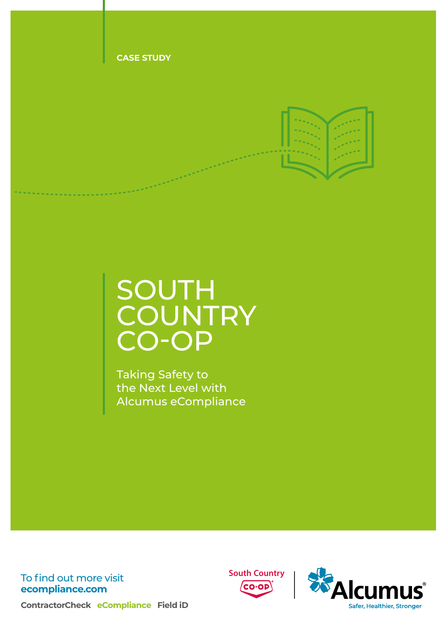

# **SOUTH COUNTRY** CO-OP

Taking Safety to the Next Level with Alcumus eCompliance

To find out more visit **[ecompliance.com](http://ecompliance.com)**





**ContractorCheck eCompliance Field iD**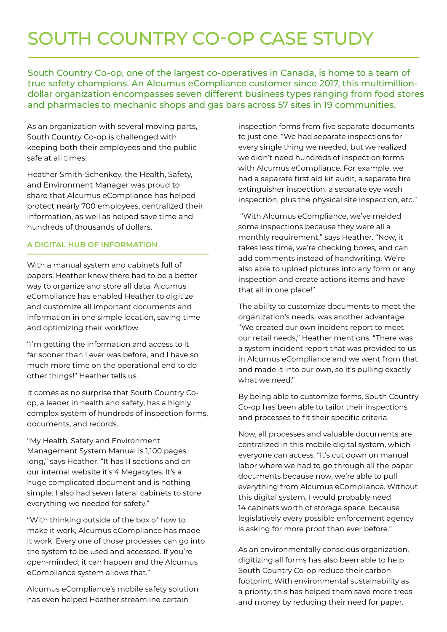## SOUTH COUNTRY CO-OP CASE STUDY

South Country Co-op, one of the largest co-operatives in Canada, is home to a team of true safety champions. An Alcumus eCompliance customer since 2017, this multimilliondollar organization encompasses seven different business types ranging from food stores and pharmacies to mechanic shops and gas bars across 57 sites in 19 communities.

As an organization with several moving parts, South Country Co-op is challenged with keeping both their employees and the public safe at all times.

Heather Smith-Schenkey, the Health, Safety, and Environment Manager was proud to share that Alcumus eCompliance has helped protect nearly 700 employees, centralized their information, as well as helped save time and hundreds of thousands of dollars.

#### **A DIGITAL HUB OF INFORMATION**

With a manual system and cabinets full of papers, Heather knew there had to be a better way to organize and store all data. Alcumus eCompliance has enabled Heather to digitize and customize all important documents and information in one simple location, saving time and optimizing their workflow.

"I'm getting the information and access to it far sooner than I ever was before, and I have so much more time on the operational end to do other things!" Heather tells us.

It comes as no surprise that South Country Coop, a leader in health and safety, has a highly complex system of hundreds of inspection forms, documents, and records.

"My Health, Safety and Environment Management System Manual is 1,100 pages long," says Heather. "It has 11 sections and on our internal website it's 4 Megabytes. It's a huge complicated document and is nothing simple. I also had seven lateral cabinets to store everything we needed for safety."

"With thinking outside of the box of how to make it work, Alcumus eCompliance has made it work. Every one of those processes can go into the system to be used and accessed. If you're open-minded, it can happen and the Alcumus eCompliance system allows that."

Alcumus eCompliance's mobile safety solution has even helped Heather streamline certain

inspection forms from five separate documents to just one. "We had separate inspections for every single thing we needed, but we realized we didn't need hundreds of inspection forms with Alcumus eCompliance. For example, we had a separate first aid kit audit, a separate fire extinguisher inspection, a separate eye wash inspection, plus the physical site inspection, etc."

"With Alcumus eCompliance, we've melded some inspections because they were all a monthly requirement," says Heather. "Now, it takes less time, we're checking boxes, and can add comments instead of handwriting. We're also able to upload pictures into any form or any inspection and create actions items and have that all in one place!"

The ability to customize documents to meet the organization's needs, was another advantage. "We created our own incident report to meet our retail needs," Heather mentions. "There was a system incident report that was provided to us in Alcumus eCompliance and we went from that and made it into our own, so it's pulling exactly what we need."

By being able to customize forms, South Country Co-op has been able to tailor their inspections and processes to fit their specific criteria.

Now, all processes and valuable documents are centralized in this mobile digital system, which everyone can access. "It's cut down on manual labor where we had to go through all the paper documents because now, we're able to pull everything from Alcumus eCompliance. Without this digital system, I would probably need 14 cabinets worth of storage space, because legislatively every possible enforcement agency is asking for more proof than ever before."

As an environmentally conscious organization, digitizing all forms has also been able to help South Country Co-op reduce their carbon footprint. With environmental sustainability as a priority, this has helped them save more trees and money by reducing their need for paper.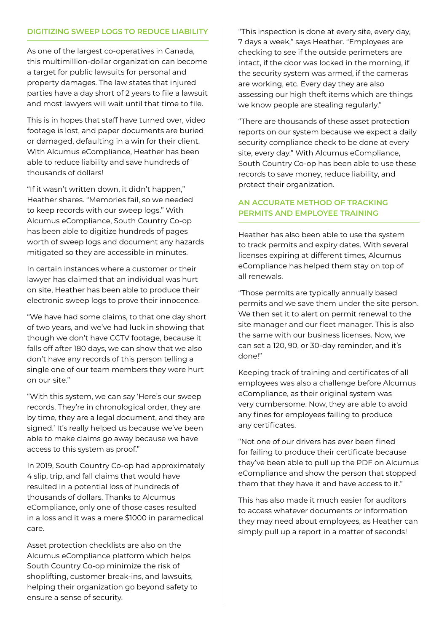#### **DIGITIZING SWEEP LOGS TO REDUCE LIABILITY**

As one of the largest co-operatives in Canada, this multimillion-dollar organization can become a target for public lawsuits for personal and property damages. The law states that injured parties have a day short of 2 years to file a lawsuit and most lawyers will wait until that time to file.

This is in hopes that staff have turned over, video footage is lost, and paper documents are buried or damaged, defaulting in a win for their client. With Alcumus eCompliance, Heather has been able to reduce liability and save hundreds of thousands of dollars!

"If it wasn't written down, it didn't happen," Heather shares. "Memories fail, so we needed to keep records with our sweep logs." With Alcumus eCompliance, South Country Co-op has been able to digitize hundreds of pages worth of sweep logs and document any hazards mitigated so they are accessible in minutes.

In certain instances where a customer or their lawyer has claimed that an individual was hurt on site, Heather has been able to produce their electronic sweep logs to prove their innocence.

"We have had some claims, to that one day short of two years, and we've had luck in showing that though we don't have CCTV footage, because it falls off after 180 days, we can show that we also don't have any records of this person telling a single one of our team members they were hurt on our site."

"With this system, we can say 'Here's our sweep records. They're in chronological order, they are by time, they are a legal document, and they are signed.' It's really helped us because we've been able to make claims go away because we have access to this system as proof."

In 2019, South Country Co-op had approximately 4 slip, trip, and fall claims that would have resulted in a potential loss of hundreds of thousands of dollars. Thanks to Alcumus eCompliance, only one of those cases resulted in a loss and it was a mere \$1000 in paramedical care.

Asset protection checklists are also on the Alcumus eCompliance platform which helps South Country Co-op minimize the risk of shoplifting, customer break-ins, and lawsuits, helping their organization go beyond safety to ensure a sense of security.

"This inspection is done at every site, every day, 7 days a week," says Heather. "Employees are checking to see if the outside perimeters are intact, if the door was locked in the morning, if the security system was armed, if the cameras are working, etc. Every day they are also assessing our high theft items which are things we know people are stealing regularly."

"There are thousands of these asset protection reports on our system because we expect a daily security compliance check to be done at every site, every day." With Alcumus eCompliance, South Country Co-op has been able to use these records to save money, reduce liability, and protect their organization.

#### **AN ACCURATE METHOD OF TRACKING PERMITS AND EMPLOYEE TRAINING**

Heather has also been able to use the system to track permits and expiry dates. With several licenses expiring at different times, Alcumus eCompliance has helped them stay on top of all renewals.

"Those permits are typically annually based permits and we save them under the site person. We then set it to alert on permit renewal to the site manager and our fleet manager. This is also the same with our business licenses. Now, we can set a 120, 90, or 30-day reminder, and it's done!"

Keeping track of training and certificates of all employees was also a challenge before Alcumus eCompliance, as their original system was very cumbersome. Now, they are able to avoid any fines for employees failing to produce any certificates.

"Not one of our drivers has ever been fined for failing to produce their certificate because they've been able to pull up the PDF on Alcumus eCompliance and show the person that stopped them that they have it and have access to it."

This has also made it much easier for auditors to access whatever documents or information they may need about employees, as Heather can simply pull up a report in a matter of seconds!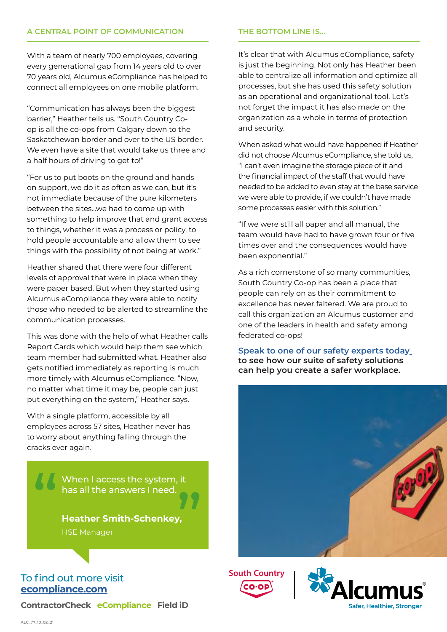#### **A CENTRAL POINT OF COMMUNICATION**

With a team of nearly 700 employees, covering every generational gap from 14 years old to over 70 years old, Alcumus eCompliance has helped to connect all employees on one mobile platform.

"Communication has always been the biggest barrier," Heather tells us. "South Country Coop is all the co-ops from Calgary down to the Saskatchewan border and over to the US border. We even have a site that would take us three and a half hours of driving to get to!"

"For us to put boots on the ground and hands on support, we do it as often as we can, but it's not immediate because of the pure kilometers between the sites...we had to come up with something to help improve that and grant access to things, whether it was a process or policy, to hold people accountable and allow them to see things with the possibility of not being at work."

Heather shared that there were four different levels of approval that were in place when they were paper based. But when they started using Alcumus eCompliance they were able to notify those who needed to be alerted to streamline the communication processes.

This was done with the help of what Heather calls Report Cards which would help them see which team member had submitted what. Heather also gets notified immediately as reporting is much more timely with Alcumus eCompliance. "Now, no matter what time it may be, people can just put everything on the system," Heather says.

With a single platform, accessible by all employees across 57 sites, Heather never has to worry about anything falling through the cracks ever again.

When I access the system, it has all the answers I need. " "

**Heather Smith-Schenkey,** HSE Manager

### To find out more visit **[ecompliance.com](http://ecompliance.com)**

**ContractorCheck eCompliance Field iD** 

#### **THE BOTTOM LINE IS…**

It's clear that with Alcumus eCompliance, safety is just the beginning. Not only has Heather been able to centralize all information and optimize all processes, but she has used this safety solution as an operational and organizational tool. Let's not forget the impact it has also made on the organization as a whole in terms of protection and security.

When asked what would have happened if Heather did not choose Alcumus eCompliance, she told us, "I can't even imagine the storage piece of it and the financial impact of the staff that would have needed to be added to even stay at the base service we were able to provide, if we couldn't have made some processes easier with this solution."

"If we were still all paper and all manual, the team would have had to have grown four or five times over and the consequences would have been exponential."

As a rich cornerstone of so many communities, South Country Co-op has been a place that people can rely on as their commitment to excellence has never faltered. We are proud to call this organization an Alcumus customer and one of the leaders in health and safety among federated co-ops!

**[Speak to one of our safety experts today](https://go.ecompliance.com/schedule-a-meeting) to see how our suite of safety solutions can help you create a safer workplace.**